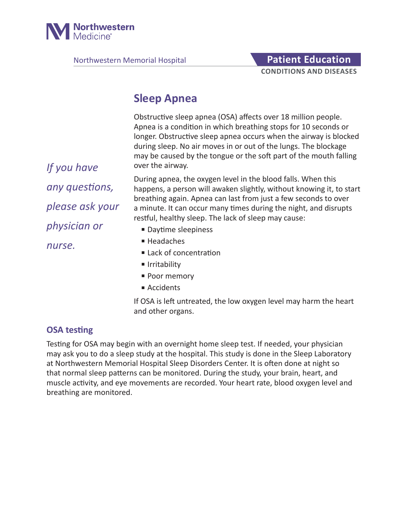

Northwestern Memorial Hospital **Patient Education** 

# **CONDITIONS AND DISEASES**

# **Sleep Apnea**

Obstructive sleep apnea (OSA) affects over 18 million people. Apnea is a condition in which breathing stops for 10 seconds or longer. Obstructive sleep apnea occurs when the airway is blocked during sleep. No air moves in or out of the lungs. The blockage may be caused by the tongue or the soft part of the mouth falling over the airway.

During apnea, the oxygen level in the blood falls. When this happens, a person will awaken slightly, without knowing it, to start breathing again. Apnea can last from just a few seconds to over a minute. It can occur many times during the night, and disrupts restful, healthy sleep. The lack of sleep may cause:

- Daytime sleepiness
- Headaches
- Lack of concentration
- Irritability
- Poor memory
- Accidents

If OSA is left untreated, the low oxygen level may harm the heart and other organs.

# **OSA testing**

Testing for OSA may begin with an overnight home sleep test. If needed, your physician may ask you to do a sleep study at the hospital. This study is done in the Sleep Laboratory at Northwestern Memorial Hospital Sleep Disorders Center. It is often done at night so that normal sleep patterns can be monitored. During the study, your brain, heart, and muscle activity, and eye movements are recorded. Your heart rate, blood oxygen level and breathing are monitored.

*If you have any questions, please ask your physician or nurse.*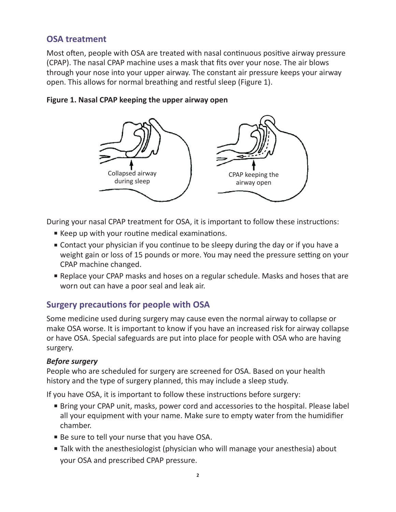# **OSA treatment**

Most often, people with OSA are treated with nasal continuous positive airway pressure (CPAP). The nasal CPAP machine uses a mask that fits over your nose. The air blows through your nose into your upper airway. The constant air pressure keeps your airway open. This allows for normal breathing and restful sleep (Figure 1).



#### **Figure 1. Nasal CPAP keeping the upper airway open**

During your nasal CPAP treatment for OSA, it is important to follow these instructions:

- Keep up with your routine medical examinations.
- Contact your physician if you continue to be sleepy during the day or if you have a weight gain or loss of 15 pounds or more. You may need the pressure setting on your CPAP machine changed.
- Replace your CPAP masks and hoses on a regular schedule. Masks and hoses that are worn out can have a poor seal and leak air.

# **Surgery precautions for people with OSA**

Some medicine used during surgery may cause even the normal airway to collapse or make OSA worse. It is important to know if you have an increased risk for airway collapse or have OSA. Special safeguards are put into place for people with OSA who are having surgery.

#### *Before surgery*

People who are scheduled for surgery are screened for OSA. Based on your health history and the type of surgery planned, this may include a sleep study.

If you have OSA, it is important to follow these instructions before surgery:

- Bring your CPAP unit, masks, power cord and accessories to the hospital. Please label all your equipment with your name. Make sure to empty water from the humidifier chamber.
- Be sure to tell your nurse that you have OSA.
- Talk with the anesthesiologist (physician who will manage your anesthesia) about your OSA and prescribed CPAP pressure.